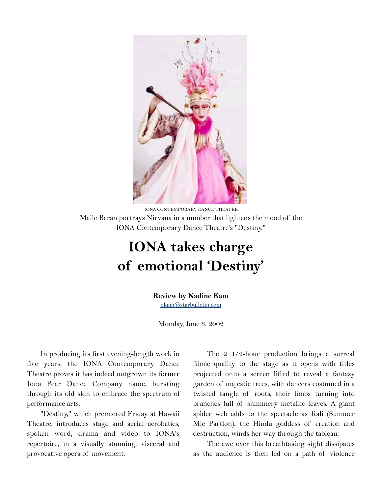

IONA CONTEMPORARY DANCE THEATRE Maile Baran portrays Nirvana in a number that lightens the mood of the IONA Contemporary Dance Theatre's "Destiny."

## **IONA takes charge of emotional 'Destiny'**

## **Review by Nadine Kam**

[nkam@starbulletin.com](mailto:nkam@starbulletin.com)

Monday, June 3, 2002

In producing its first evening-length work in five years, the IONA Contemporary Dance Theatre proves it has indeed outgrown its former Iona Pear Dance Company name, bursting through its old skin to embrace the spectrum of performance arts.

"Destiny," which premiered Friday at Hawaii Theatre, introduces stage and aerial acrobatics, spoken word, drama and video to IONA's repertoire, in a visually stunning, visceral and provocative opera of movement.

The 2 1/2-hour production brings a surreal filmic quality to the stage as it opens with titles projected onto a screen lifted to reveal a fantasy garden of majestic trees, with dancers costumed in a twisted tangle of roots, their limbs turning into branches full of shimmery metallic leaves. A giant spider web adds to the spectacle as Kali (Summer Mie Partlon), the Hindu goddess of creation and destruction, winds her way through the tableau.

The awe over this breathtaking sight dissipates as the audience is then led on a path of violence